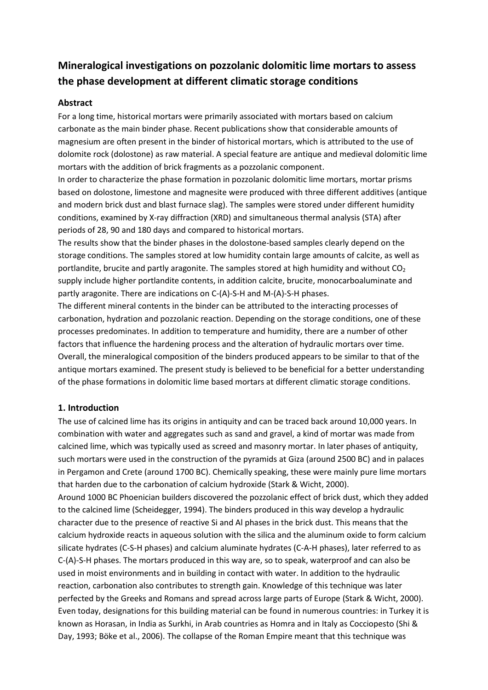# **Mineralogical investigations on pozzolanic dolomitic lime mortars to assess the phase development at different climatic storage conditions**

# **Abstract**

For a long time, historical mortars were primarily associated with mortars based on calcium carbonate as the main binder phase. Recent publications show that considerable amounts of magnesium are often present in the binder of historical mortars, which is attributed to the use of dolomite rock (dolostone) as raw material. A special feature are antique and medieval dolomitic lime mortars with the addition of brick fragments as a pozzolanic component.

In order to characterize the phase formation in pozzolanic dolomitic lime mortars, mortar prisms based on dolostone, limestone and magnesite were produced with three different additives (antique and modern brick dust and blast furnace slag). The samples were stored under different humidity conditions, examined by X-ray diffraction (XRD) and simultaneous thermal analysis (STA) after periods of 28, 90 and 180 days and compared to historical mortars.

The results show that the binder phases in the dolostone-based samples clearly depend on the storage conditions. The samples stored at low humidity contain large amounts of calcite, as well as portlandite, brucite and partly aragonite. The samples stored at high humidity and without  $CO<sub>2</sub>$ supply include higher portlandite contents, in addition calcite, brucite, monocarboaluminate and partly aragonite. There are indications on C-(A)-S-H and M-(A)-S-H phases.

The different mineral contents in the binder can be attributed to the interacting processes of carbonation, hydration and pozzolanic reaction. Depending on the storage conditions, one of these processes predominates. In addition to temperature and humidity, there are a number of other factors that influence the hardening process and the alteration of hydraulic mortars over time. Overall, the mineralogical composition of the binders produced appears to be similar to that of the antique mortars examined. The present study is believed to be beneficial for a better understanding of the phase formations in dolomitic lime based mortars at different climatic storage conditions.

# **1. Introduction**

The use of calcined lime has its origins in antiquity and can be traced back around 10,000 years. In combination with water and aggregates such as sand and gravel, a kind of mortar was made from calcined lime, which was typically used as screed and masonry mortar. In later phases of antiquity, such mortars were used in the construction of the pyramids at Giza (around 2500 BC) and in palaces in Pergamon and Crete (around 1700 BC). Chemically speaking, these were mainly pure lime mortars that harden due to the carbonation of calcium hydroxide (Stark & Wicht, 2000).

Around 1000 BC Phoenician builders discovered the pozzolanic effect of brick dust, which they added to the calcined lime (Scheidegger, 1994). The binders produced in this way develop a hydraulic character due to the presence of reactive Si and Al phases in the brick dust. This means that the calcium hydroxide reacts in aqueous solution with the silica and the aluminum oxide to form calcium silicate hydrates (C-S-H phases) and calcium aluminate hydrates (C-A-H phases), later referred to as C-(A)-S-H phases. The mortars produced in this way are, so to speak, waterproof and can also be used in moist environments and in building in contact with water. In addition to the hydraulic reaction, carbonation also contributes to strength gain. Knowledge of this technique was later perfected by the Greeks and Romans and spread across large parts of Europe (Stark & Wicht, 2000). Even today, designations for this building material can be found in numerous countries: in Turkey it is known as Horasan, in India as Surkhi, in Arab countries as Homra and in Italy as Cocciopesto (Shi & Day, 1993; Böke et al., 2006). The collapse of the Roman Empire meant that this technique was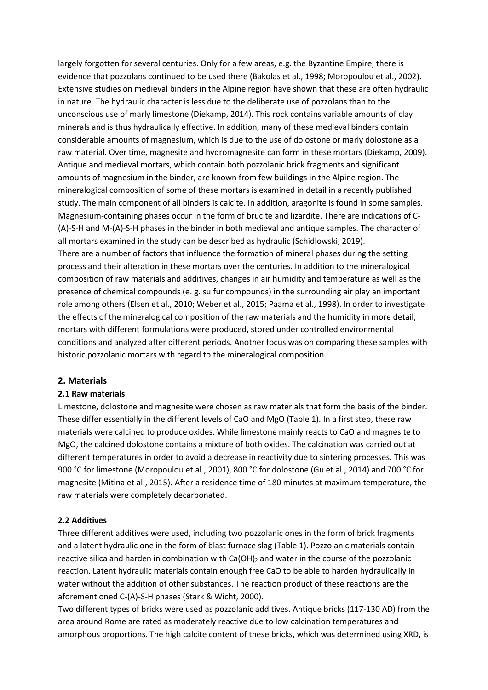largely forgotten for several centuries. Only for a few areas, e.g. the Byzantine Empire, there is evidence that pozzolans continued to be used there (Bakolas et al., 1998; Moropoulou et al., 2002). Extensive studies on medieval binders in the Alpine region have shown that these are often hydraulic in nature. The hydraulic character is less due to the deliberate use of pozzolans than to the unconscious use of marly limestone (Diekamp, 2014). This rock contains variable amounts of clay minerals and is thus hydraulically effective. In addition, many of these medieval binders contain considerable amounts of magnesium, which is due to the use of dolostone or marly dolostone as a raw material. Over time, magnesite and hydromagnesite can form in these mortars (Diekamp, 2009). Antique and medieval mortars, which contain both pozzolanic brick fragments and significant amounts of magnesium in the binder, are known from few buildings in the Alpine region. The mineralogical composition of some of these mortars is examined in detail in a recently published study. The main component of all binders is calcite. In addition, aragonite is found in some samples. Magnesium-containing phases occur in the form of brucite and lizardite. There are indications of C- (A)-S-H and M-(A)-S-H phases in the binder in both medieval and antique samples. The character of all mortars examined in the study can be described as hydraulic (Schidlowski, 2019). There are a number of factors that influence the formation of mineral phases during the setting process and their alteration in these mortars over the centuries. In addition to the mineralogical composition of raw materials and additives, changes in air humidity and temperature as well as the presence of chemical compounds (e. g. sulfur compounds) in the surrounding air play an important role among others (Elsen et al., 2010; Weber et al., 2015; Paama et al., 1998). In order to investigate the effects of the mineralogical composition of the raw materials and the humidity in more detail,

mortars with different formulations were produced, stored under controlled environmental conditions and analyzed after different periods. Another focus was on comparing these samples with historic pozzolanic mortars with regard to the mineralogical composition.

#### **2. Materials**

#### **2.1 Raw materials**

Limestone, dolostone and magnesite were chosen as raw materials that form the basis of the binder. These differ essentially in the different levels of CaO and MgO (Table 1). In a first step, these raw materials were calcined to produce oxides. While limestone mainly reacts to CaO and magnesite to MgO, the calcined dolostone contains a mixture of both oxides. The calcination was carried out at different temperatures in order to avoid a decrease in reactivity due to sintering processes. This was 900 °C for limestone (Moropoulou et al., 2001), 800 °C for dolostone (Gu et al., 2014) and 700 °C for magnesite (Mitina et al., 2015). After a residence time of 180 minutes at maximum temperature, the raw materials were completely decarbonated.

#### **2.2 Additives**

Three different additives were used, including two pozzolanic ones in the form of brick fragments and a latent hydraulic one in the form of blast furnace slag (Table 1). Pozzolanic materials contain reactive silica and harden in combination with  $Ca(OH)_2$  and water in the course of the pozzolanic reaction. Latent hydraulic materials contain enough free CaO to be able to harden hydraulically in water without the addition of other substances. The reaction product of these reactions are the aforementioned C-(A)-S-H phases (Stark & Wicht, 2000).

Two different types of bricks were used as pozzolanic additives. Antique bricks (117-130 AD) from the area around Rome are rated as moderately reactive due to low calcination temperatures and amorphous proportions. The high calcite content of these bricks, which was determined using XRD, is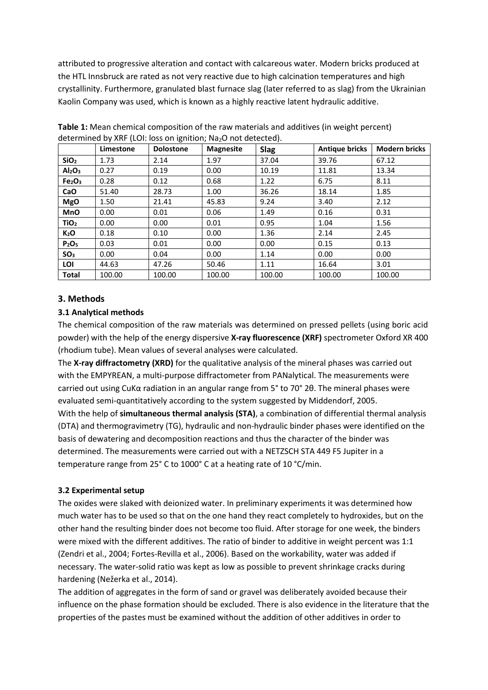attributed to progressive alteration and contact with calcareous water. Modern bricks produced at the HTL Innsbruck are rated as not very reactive due to high calcination temperatures and high crystallinity. Furthermore, granulated blast furnace slag (later referred to as slag) from the Ukrainian Kaolin Company was used, which is known as a highly reactive latent hydraulic additive.

|                                | Limestone | <b>Dolostone</b> | <b>Magnesite</b> | <b>Slag</b> | <b>Antique bricks</b> | <b>Modern bricks</b> |
|--------------------------------|-----------|------------------|------------------|-------------|-----------------------|----------------------|
| SiO <sub>2</sub>               | 1.73      | 2.14             | 1.97             | 37.04       | 39.76                 | 67.12                |
| Al <sub>2</sub> O <sub>3</sub> | 0.27      | 0.19             | 0.00             | 10.19       | 11.81                 | 13.34                |
| Fe <sub>2</sub> O <sub>3</sub> | 0.28      | 0.12             | 0.68             | 1.22        | 6.75                  | 8.11                 |
| CaO                            | 51.40     | 28.73            | 1.00             | 36.26       | 18.14                 | 1.85                 |
| <b>MgO</b>                     | 1.50      | 21.41            | 45.83            | 9.24        | 3.40                  | 2.12                 |
| <b>MnO</b>                     | 0.00      | 0.01             | 0.06             | 1.49        | 0.16                  | 0.31                 |
| TiO <sub>2</sub>               | 0.00      | 0.00             | 0.01             | 0.95        | 1.04                  | 1.56                 |
| K <sub>2</sub> O               | 0.18      | 0.10             | 0.00             | 1.36        | 2.14                  | 2.45                 |
| P <sub>2</sub> O <sub>5</sub>  | 0.03      | 0.01             | 0.00             | 0.00        | 0.15                  | 0.13                 |
| SO <sub>3</sub>                | 0.00      | 0.04             | 0.00             | 1.14        | 0.00                  | 0.00                 |
| LOI                            | 44.63     | 47.26            | 50.46            | 1.11        | 16.64                 | 3.01                 |
| <b>Total</b>                   | 100.00    | 100.00           | 100.00           | 100.00      | 100.00                | 100.00               |

**Table 1:** Mean chemical composition of the raw materials and additives (in weight percent) determined by XRF (LOI: loss on ignition: Na<sub>2</sub>O not detected).

## **3. Methods**

#### **3.1 Analytical methods**

The chemical composition of the raw materials was determined on pressed pellets (using boric acid powder) with the help of the energy dispersive **X-ray fluorescence (XRF)** spectrometer Oxford XR 400 (rhodium tube). Mean values of several analyses were calculated.

The **X-ray diffractometry (XRD)** for the qualitative analysis of the mineral phases was carried out with the EMPYREAN, a multi-purpose diffractometer from PANalytical. The measurements were carried out using CuKα radiation in an angular range from 5° to 70° 2θ. The mineral phases were evaluated semi-quantitatively according to the system suggested by Middendorf, 2005. With the help of **simultaneous thermal analysis (STA)**, a combination of differential thermal analysis (DTA) and thermogravimetry (TG), hydraulic and non-hydraulic binder phases were identified on the basis of dewatering and decomposition reactions and thus the character of the binder was determined. The measurements were carried out with a NETZSCH STA 449 F5 Jupiter in a temperature range from 25° C to 1000° C at a heating rate of 10 °C/min.

#### **3.2 Experimental setup**

The oxides were slaked with deionized water. In preliminary experiments it was determined how much water has to be used so that on the one hand they react completely to hydroxides, but on the other hand the resulting binder does not become too fluid. After storage for one week, the binders were mixed with the different additives. The ratio of binder to additive in weight percent was 1:1 (Zendri et al., 2004; Fortes-Revilla et al., 2006). Based on the workability, water was added if necessary. The water-solid ratio was kept as low as possible to prevent shrinkage cracks during hardening (Nežerka et al., 2014).

The addition of aggregates in the form of sand or gravel was deliberately avoided because their influence on the phase formation should be excluded. There is also evidence in the literature that the properties of the pastes must be examined without the addition of other additives in order to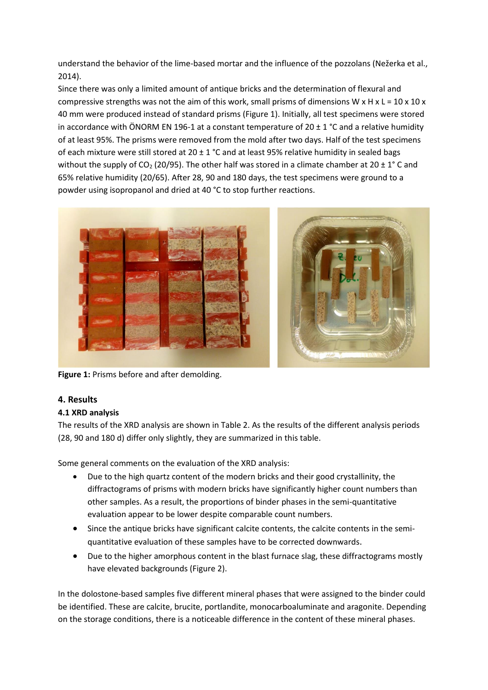understand the behavior of the lime-based mortar and the influence of the pozzolans (Nežerka et al., 2014).

Since there was only a limited amount of antique bricks and the determination of flexural and compressive strengths was not the aim of this work, small prisms of dimensions W x H x L =  $10 \times 10 \times$ 40 mm were produced instead of standard prisms (Figure 1). Initially, all test specimens were stored in accordance with ÖNORM EN 196-1 at a constant temperature of  $20 \pm 1$  °C and a relative humidity of at least 95%. The prisms were removed from the mold after two days. Half of the test specimens of each mixture were still stored at 20  $\pm$  1 °C and at least 95% relative humidity in sealed bags without the supply of CO<sub>2</sub> (20/95). The other half was stored in a climate chamber at 20  $\pm$  1° C and 65% relative humidity (20/65). After 28, 90 and 180 days, the test specimens were ground to a powder using isopropanol and dried at 40 °C to stop further reactions.



**Figure 1:** Prisms before and after demolding.

# **4. Results**

## **4.1 XRD analysis**

The results of the XRD analysis are shown in Table 2. As the results of the different analysis periods (28, 90 and 180 d) differ only slightly, they are summarized in this table.

Some general comments on the evaluation of the XRD analysis:

- Due to the high quartz content of the modern bricks and their good crystallinity, the diffractograms of prisms with modern bricks have significantly higher count numbers than other samples. As a result, the proportions of binder phases in the semi-quantitative evaluation appear to be lower despite comparable count numbers.
- Since the antique bricks have significant calcite contents, the calcite contents in the semiquantitative evaluation of these samples have to be corrected downwards.
- Due to the higher amorphous content in the blast furnace slag, these diffractograms mostly have elevated backgrounds (Figure 2).

In the dolostone-based samples five different mineral phases that were assigned to the binder could be identified. These are calcite, brucite, portlandite, monocarboaluminate and aragonite. Depending on the storage conditions, there is a noticeable difference in the content of these mineral phases.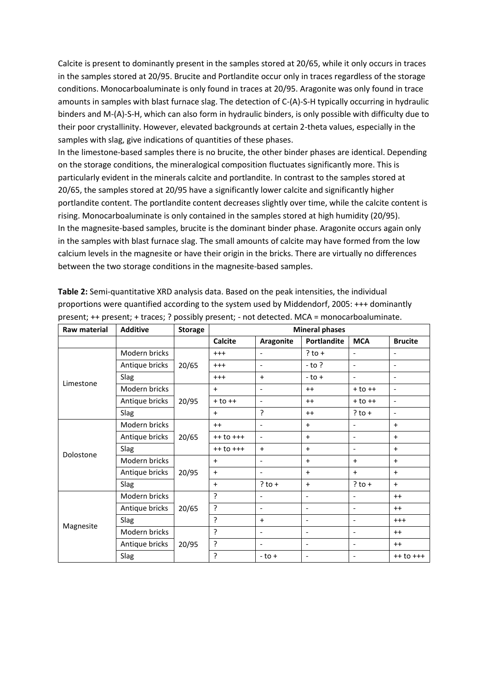Calcite is present to dominantly present in the samples stored at 20/65, while it only occurs in traces in the samples stored at 20/95. Brucite and Portlandite occur only in traces regardless of the storage conditions. Monocarboaluminate is only found in traces at 20/95. Aragonite was only found in trace amounts in samples with blast furnace slag. The detection of C-(A)-S-H typically occurring in hydraulic binders and M-(A)-S-H, which can also form in hydraulic binders, is only possible with difficulty due to their poor crystallinity. However, elevated backgrounds at certain 2-theta values, especially in the samples with slag, give indications of quantities of these phases.

In the limestone-based samples there is no brucite, the other binder phases are identical. Depending on the storage conditions, the mineralogical composition fluctuates significantly more. This is particularly evident in the minerals calcite and portlandite. In contrast to the samples stored at 20/65, the samples stored at 20/95 have a significantly lower calcite and significantly higher portlandite content. The portlandite content decreases slightly over time, while the calcite content is rising. Monocarboaluminate is only contained in the samples stored at high humidity (20/95). In the magnesite-based samples, brucite is the dominant binder phase. Aragonite occurs again only in the samples with blast furnace slag. The small amounts of calcite may have formed from the low calcium levels in the magnesite or have their origin in the bricks. There are virtually no differences between the two storage conditions in the magnesite-based samples.

| Raw material | <b>Additive</b> | <b>Storage</b> | <b>Mineral phases</b> |                          |                          |                              |                          |
|--------------|-----------------|----------------|-----------------------|--------------------------|--------------------------|------------------------------|--------------------------|
|              |                 |                | Calcite               | Aragonite                | <b>Portlandite</b>       | <b>MCA</b>                   | <b>Brucite</b>           |
|              | Modern bricks   |                | $^{+++}$              | $\blacksquare$           | $?$ to +                 | $\overline{\phantom{a}}$     | $\overline{\phantom{a}}$ |
|              | Antique bricks  | 20/65          | $^{+++}$              | $\overline{\phantom{a}}$ | $-$ to ?                 | $\overline{a}$               | $\overline{\phantom{a}}$ |
|              | Slag            |                | $^{+++}$              | $+$                      | $-$ to $+$               | $\overline{\phantom{a}}$     | $\overline{\phantom{a}}$ |
| Limestone    | Modern bricks   |                | $\ddot{}$             | $\overline{\phantom{a}}$ | $^{++}$                  | $+$ to $++$                  | $\overline{\phantom{a}}$ |
|              | Antique bricks  | 20/95          | $+$ to $++$           | $\blacksquare$           | $^{++}$                  | $+$ to $++$                  | $\overline{\phantom{a}}$ |
|              | Slag            |                | $+$                   | ?                        | $^{++}$                  | $?$ to +                     | $\blacksquare$           |
|              | Modern bricks   |                | $++$                  | $\blacksquare$           | $\ddot{}$                | $\overline{\phantom{a}}$     | $+$                      |
|              | Antique bricks  | 20/65          | $++$ to $++$          | $\overline{\phantom{a}}$ | $\ddot{}$                | ٠                            | $+$                      |
|              | Slag            |                | $++$ to $++$          | $\ddot{}$                | $\ddot{}$                | $\overline{\phantom{a}}$     | $+$                      |
| Dolostone    | Modern bricks   |                | $\ddot{}$             | $\blacksquare$           | $\ddot{}$                | $\ddot{}$                    | $\ddot{}$                |
|              | Antique bricks  | 20/95          | $\ddot{}$             | $\blacksquare$           | $\ddot{}$                | $+$                          | $+$                      |
|              | Slag            |                | $+$                   | $?$ to $+$               | $\ddot{}$                | $?$ to $+$                   | $+$                      |
|              | Modern bricks   |                | ?                     | $\overline{\phantom{a}}$ | $\overline{\phantom{a}}$ | $\overline{\phantom{a}}$     | $^{++}$                  |
|              | Antique bricks  | 20/65          | ?                     | $\overline{\phantom{a}}$ | $\overline{\phantom{a}}$ | $\overline{\phantom{a}}$     | $^{++}$                  |
|              | Slag            |                | ?                     | $+$                      | $\overline{\phantom{a}}$ | $\qquad \qquad \blacksquare$ | $^{+++}$                 |
| Magnesite    | Modern bricks   |                | ç.                    | $\blacksquare$           | $\overline{\phantom{a}}$ | $\qquad \qquad \blacksquare$ | $^{++}$                  |
|              | Antique bricks  | 20/95          | ?                     | $\blacksquare$           | $\overline{\phantom{a}}$ | $\overline{\phantom{0}}$     | $^{++}$                  |
|              | Slag            |                | 5                     | $-$ to $+$               | $\overline{\phantom{a}}$ | $\overline{\phantom{a}}$     | $++$ to $++$             |

**Table 2:** Semi-quantitative XRD analysis data. Based on the peak intensities, the individual proportions were quantified according to the system used by Middendorf, 2005: +++ dominantly present; ++ present; + traces; ? possibly present; - not detected. MCA = monocarboaluminate.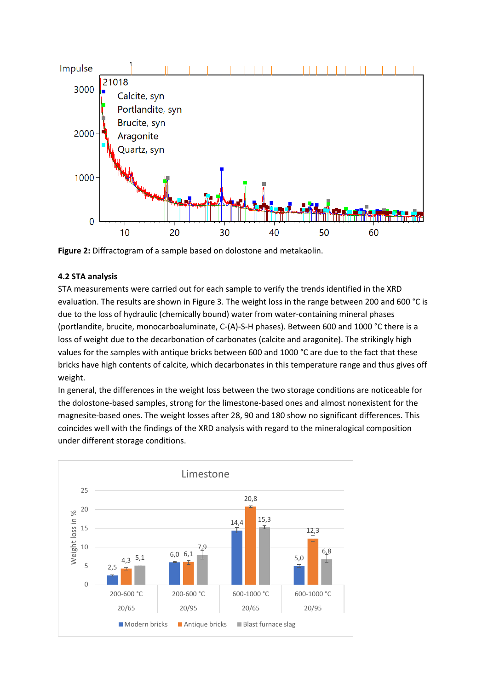

**Figure 2:** Diffractogram of a sample based on dolostone and metakaolin.

# **4.2 STA analysis**

STA measurements were carried out for each sample to verify the trends identified in the XRD evaluation. The results are shown in Figure 3. The weight loss in the range between 200 and 600 °C is due to the loss of hydraulic (chemically bound) water from water-containing mineral phases (portlandite, brucite, monocarboaluminate, C-(A)-S-H phases). Between 600 and 1000 °C there is a loss of weight due to the decarbonation of carbonates (calcite and aragonite). The strikingly high values for the samples with antique bricks between 600 and 1000 °C are due to the fact that these bricks have high contents of calcite, which decarbonates in this temperature range and thus gives off weight.

In general, the differences in the weight loss between the two storage conditions are noticeable for the dolostone-based samples, strong for the limestone-based ones and almost nonexistent for the magnesite-based ones. The weight losses after 28, 90 and 180 show no significant differences. This coincides well with the findings of the XRD analysis with regard to the mineralogical composition under different storage conditions.

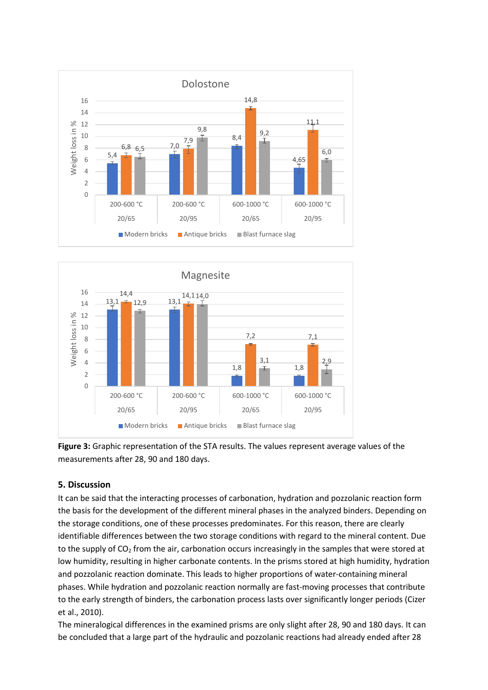



**Figure 3:** Graphic representation of the STA results. The values represent average values of the measurements after 28, 90 and 180 days.

## **5. Discussion**

It can be said that the interacting processes of carbonation, hydration and pozzolanic reaction form the basis for the development of the different mineral phases in the analyzed binders. Depending on the storage conditions, one of these processes predominates. For this reason, there are clearly identifiable differences between the two storage conditions with regard to the mineral content. Due to the supply of  $CO<sub>2</sub>$  from the air, carbonation occurs increasingly in the samples that were stored at low humidity, resulting in higher carbonate contents. In the prisms stored at high humidity, hydration and pozzolanic reaction dominate. This leads to higher proportions of water-containing mineral phases. While hydration and pozzolanic reaction normally are fast-moving processes that contribute to the early strength of binders, the carbonation process lasts over significantly longer periods (Cizer et al., 2010).

The mineralogical differences in the examined prisms are only slight after 28, 90 and 180 days. It can be concluded that a large part of the hydraulic and pozzolanic reactions had already ended after 28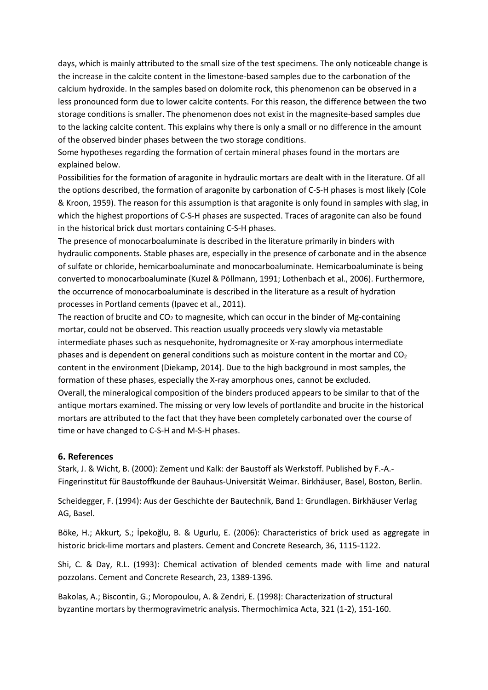days, which is mainly attributed to the small size of the test specimens. The only noticeable change is the increase in the calcite content in the limestone-based samples due to the carbonation of the calcium hydroxide. In the samples based on dolomite rock, this phenomenon can be observed in a less pronounced form due to lower calcite contents. For this reason, the difference between the two storage conditions is smaller. The phenomenon does not exist in the magnesite-based samples due to the lacking calcite content. This explains why there is only a small or no difference in the amount of the observed binder phases between the two storage conditions.

Some hypotheses regarding the formation of certain mineral phases found in the mortars are explained below.

Possibilities for the formation of aragonite in hydraulic mortars are dealt with in the literature. Of all the options described, the formation of aragonite by carbonation of C-S-H phases is most likely (Cole & Kroon, 1959). The reason for this assumption is that aragonite is only found in samples with slag, in which the highest proportions of C-S-H phases are suspected. Traces of aragonite can also be found in the historical brick dust mortars containing C-S-H phases.

The presence of monocarboaluminate is described in the literature primarily in binders with hydraulic components. Stable phases are, especially in the presence of carbonate and in the absence of sulfate or chloride, hemicarboaluminate and monocarboaluminate. Hemicarboaluminate is being converted to monocarboaluminate (Kuzel & Pöllmann, 1991; Lothenbach et al., 2006). Furthermore, the occurrence of monocarboaluminate is described in the literature as a result of hydration processes in Portland cements (Ipavec et al., 2011).

The reaction of brucite and  $CO<sub>2</sub>$  to magnesite, which can occur in the binder of Mg-containing mortar, could not be observed. This reaction usually proceeds very slowly via metastable intermediate phases such as nesquehonite, hydromagnesite or X-ray amorphous intermediate phases and is dependent on general conditions such as moisture content in the mortar and  $CO<sub>2</sub>$ content in the environment (Diekamp, 2014). Due to the high background in most samples, the formation of these phases, especially the X-ray amorphous ones, cannot be excluded. Overall, the mineralogical composition of the binders produced appears to be similar to that of the antique mortars examined. The missing or very low levels of portlandite and brucite in the historical mortars are attributed to the fact that they have been completely carbonated over the course of time or have changed to C-S-H and M-S-H phases.

#### **6. References**

Stark, J. & Wicht, B. (2000): Zement und Kalk: der Baustoff als Werkstoff. Published by F.-A.- Fingerinstitut für Baustoffkunde der Bauhaus-Universität Weimar. Birkhäuser, Basel, Boston, Berlin.

Scheidegger, F. (1994): Aus der Geschichte der Bautechnik, Band 1: Grundlagen. Birkhäuser Verlag AG, Basel.

Böke, H.; Akkurt*,* S.; İpekoğlu, B. & Ugurlu, E. (2006): Characteristics of brick used as aggregate in historic brick-lime mortars and plasters. Cement and Concrete Research, 36, 1115-1122.

Shi, C. & Day, R.L. (1993): Chemical activation of blended cements made with lime and natural pozzolans. Cement and Concrete Research, 23, 1389-1396.

Bakolas, A.; Biscontin, G.; Moropoulou, A. & Zendri, E. (1998): Characterization of structural byzantine mortars by thermogravimetric analysis. Thermochimica Acta, 321 (1-2), 151-160.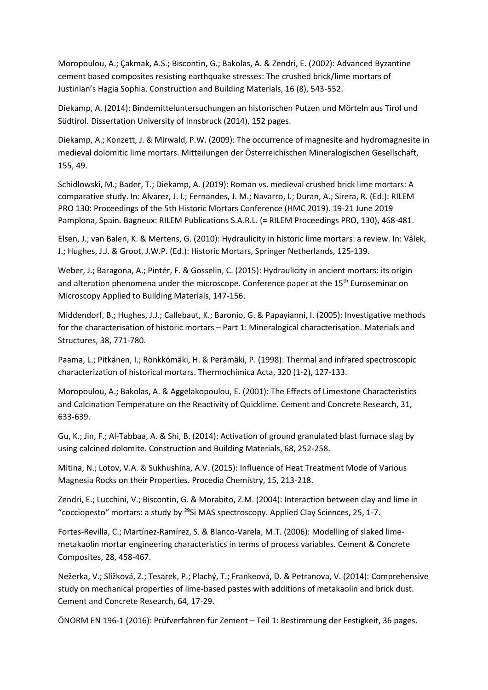Moropoulou, A.; Çakmak, A.S.; Biscontin, G.; Bakolas, A. & Zendri, E. (2002): Advanced Byzantine cement based composites resisting earthquake stresses: The crushed brick/lime mortars of Justinian's Hagia Sophia. Construction and Building Materials, 16 (8), 543-552.

Diekamp, A. (2014): Bindemitteluntersuchungen an historischen Putzen und Mörteln aus Tirol und Südtirol. Dissertation University of Innsbruck (2014), 152 pages.

Diekamp, A.; Konzett, J. & Mirwald, P.W. (2009): The occurrence of magnesite and hydromagnesite in medieval dolomitic lime mortars. Mitteilungen der Österreichischen Mineralogischen Gesellschaft, 155, 49.

Schidlowski, M.; Bader, T.; Diekamp, A. (2019): Roman vs. medieval crushed brick lime mortars: A comparative study. In: Alvarez, J. I.; Fernandes, J. M.; Navarro, I.; Duran, A.; Sirera, R. (Ed.): RILEM PRO 130: Proceedings of the 5th Historic Mortars Conference (HMC 2019). 19-21 June 2019 Pamplona, Spain. Bagneux: RILEM Publications S.A.R.L. (= RILEM Proceedings PRO, 130), 468-481.

Elsen, J.; van Balen, K. & Mertens, G. (2010): Hydraulicity in historic lime mortars: a review. In: Válek, J.; Hughes, J.J. & Groot, J.W.P. (Ed.): Historic Mortars, Springer Netherlands, 125-139.

Weber, J.; Baragona, A.; Pintér, F. & Gosselin, C. (2015): Hydraulicity in ancient mortars: its origin and alteration phenomena under the microscope. Conference paper at the 15<sup>th</sup> Euroseminar on Microscopy Applied to Building Materials, 147-156.

Middendorf, B.; Hughes, J.J.; Callebaut, K.; Baronio, G. & Papayianni, I. (2005): Investigative methods for the characterisation of historic mortars – Part 1: Mineralogical characterisation. Materials and Structures, 38, 771-780.

Paama, L.; Pitkänen, I.; Rönkkömäki, H. & Perämäki, P. (1998): Thermal and infrared spectroscopic characterization of historical mortars. Thermochimica Acta, 320 (1-2), 127-133.

Moropoulou, A.; Bakolas, A. & Aggelakopoulou, E. (2001): The Effects of Limestone Characteristics and Calcination Temperature on the Reactivity of Quicklime. Cement and Concrete Research, 31, 633-639.

Gu, K.; Jin, F.; Al-Tabbaa, A. & Shi, B. (2014): Activation of ground granulated blast furnace slag by using calcined dolomite. Construction and Building Materials, 68, 252-258.

Mitina, N.; Lotov, V.A. & Sukhushina, A.V. (2015): Influence of Heat Treatment Mode of Various Magnesia Rocks on their Properties. Procedia Chemistry, 15, 213-218.

Zendri, E.; Lucchini, V.; Biscontin, G. & Morabito, Z.M. (2004): Interaction between clay and lime in "cocciopesto" mortars: a study by  $^{29}$ Si MAS spectroscopy. Applied Clay Sciences, 25, 1-7.

Fortes-Revilla, C.; Martínez-Ramírez, S. & Blanco-Varela, M.T. (2006): Modelling of slaked limemetakaolin mortar engineering characteristics in terms of process variables. Cement & Concrete Composites, 28, 458-467.

Nežerka, V.; Slížková, Z.; Tesarek, P.; Plachý, T.; Frankeová, D. & Petranova, V. (2014): Comprehensive study on mechanical properties of lime-based pastes with additions of metakaolin and brick dust. Cement and Concrete Research, 64, 17-29.

ÖNORM EN 196-1 (2016): Prüfverfahren für Zement – Teil 1: Bestimmung der Festigkeit, 36 pages.